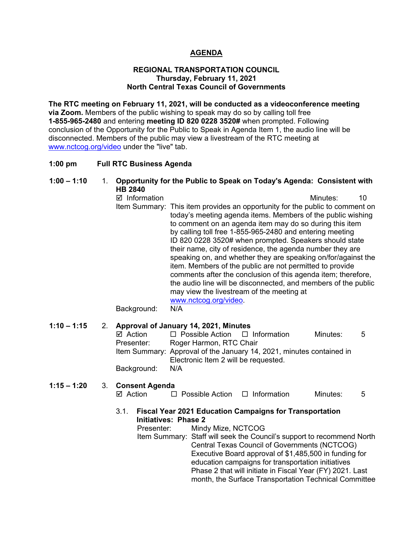## **AGENDA**

#### **REGIONAL TRANSPORTATION COUNCIL Thursday, February 11, 2021 North Central Texas Council of Governments**

**The RTC meeting on February 11, 2021, will be conducted as a videoconference meeting via Zoom.** Members of the public wishing to speak may do so by calling toll free **1-855-965-2480** and entering **meeting ID 820 0228 3520#** when prompted. Following conclusion of the Opportunity for the Public to Speak in Agenda Item 1, the audio line will be disconnected. Members of the public may view a livestream of the RTC meeting at [www.nctcog.org/video](http://www.nctcog.org/video) under the "live" tab.

#### **1:00 pm Full RTC Business Agenda**

# **1:00 – 1:10** 1. **Opportunity for the Public to Speak on Today's Agenda: Consistent with HB 2840**

 $\boxtimes$  Information and a set of the matrice of the Minutes: 10 Item Summary: This item provides an opportunity for the public to comment on today's meeting agenda items. Members of the public wishing to comment on an agenda item may do so during this item by calling toll free 1-855-965-2480 and entering meeting ID 820 0228 3520# when prompted. Speakers should state their name, city of residence, the agenda number they are speaking on, and whether they are speaking on/for/against the item. Members of the public are not permitted to provide comments after the conclusion of this agenda item; therefore, the audio line will be disconnected, and members of the public may view the livestream of the meeting at [www.nctcog.org/video.](http://www.nctcog.org/video)<br>N/A Background:

## **1:10 – 1:15** 2. **Approval of January 14, 2021, Minutes**

| ⊠ Action        | $\Box$ Possible Action $\Box$ Information |                                                                      | Minutes: | .5 |
|-----------------|-------------------------------------------|----------------------------------------------------------------------|----------|----|
| Presenter:      | Roger Harmon, RTC Chair                   |                                                                      |          |    |
|                 |                                           | Item Summary: Approval of the January 14, 2021, minutes contained in |          |    |
|                 | Electronic Item 2 will be requested.      |                                                                      |          |    |
| Background: N/A |                                           |                                                                      |          |    |
|                 |                                           |                                                                      |          |    |

# **1:15 – 1:20** 3. **Consent Agenda**

 $\Box$  Possible Action  $\Box$  Information Minutes: 5

## 3.1. **Fiscal Year 2021 Education Campaigns for Transportation Initiatives: Phase 2**

Presenter: Mindy Mize, NCTCOG

Item Summary: Staff will seek the Council's support to recommend North Central Texas Council of Governments (NCTCOG) Executive Board approval of \$1,485,500 in funding for education campaigns for transportation initiatives Phase 2 that will initiate in Fiscal Year (FY) 2021. Last month, the Surface Transportation Technical Committee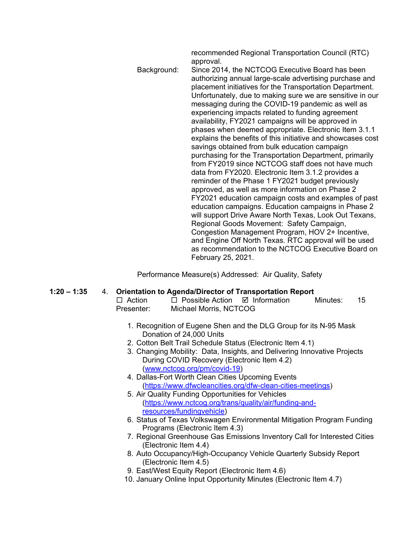recommended Regional Transportation Council (RTC) approval. Background: Since 2014, the NCTCOG Executive Board has been authorizing annual large-scale advertising purchase and placement initiatives for the Transportation Department. Unfortunately, due to making sure we are sensitive in our messaging during the COVID-19 pandemic as well as experiencing impacts related to funding agreement availability, FY2021 campaigns will be approved in phases when deemed appropriate. Electronic Item 3.1.1 explains the benefits of this initiative and showcases cost savings obtained from bulk education campaign purchasing for the Transportation Department, primarily from FY2019 since NCTCOG staff does not have much data from FY2020. Electronic Item 3.1.2 provides a reminder of the Phase 1 FY2021 budget previously approved, as well as more information on Phase 2 FY2021 education campaign costs and examples of past education campaigns. Education campaigns in Phase 2 will support Drive Aware North Texas, Look Out Texans, Regional Goods Movement: Safety Campaign, Congestion Management Program, HOV 2+ Incentive, and Engine Off North Texas. RTC approval will be used as recommendation to the NCTCOG Executive Board on February 25, 2021.

Performance Measure(s) Addressed: Air Quality, Safety

- **1:20 – 1:35** 4. **Orientation to Agenda/Director of Transportation Report**
	- $\Box$  Possible Action  $\Box$  Information Minutes: 15 Presenter: Michael Morris, NCTCOG
		- 1. Recognition of Eugene Shen and the DLG Group for its N-95 Mask Donation of 24,000 Units
		- 2. Cotton Belt Trail Schedule Status (Electronic Item 4.1)
		- 3. Changing Mobility: Data, Insights, and Delivering Innovative Projects During COVID Recovery (Electronic Item 4.2) [\(www.nctcog.org/pm/covid-19\)](http://www.nctcog.org/pm/covid-19)
		- 4. Dallas-Fort Worth Clean Cities Upcoming Events [\(https://www.dfwcleancities.org/dfw-clean-cities-meetings\)](https://www.dfwcleancities.org/dfw-clean-cities-meetings)
		- 5. Air Quality Funding Opportunities for Vehicles [\(https://www.nctcog.org/trans/quality/air/funding-and](https://www.nctcog.org/trans/quality/air/funding-and-resources/fundingvehicle)[resources/fundingvehicle\)](https://www.nctcog.org/trans/quality/air/funding-and-resources/fundingvehicle)
		- 6. Status of Texas Volkswagen Environmental Mitigation Program Funding Programs (Electronic Item 4.3)
		- 7. Regional Greenhouse Gas Emissions Inventory Call for Interested Cities (Electronic Item 4.4)
		- 8. Auto Occupancy/High-Occupancy Vehicle Quarterly Subsidy Report (Electronic Item 4.5)
		- 9. East/West Equity Report (Electronic Item 4.6)
		- 10. January Online Input Opportunity Minutes (Electronic Item 4.7)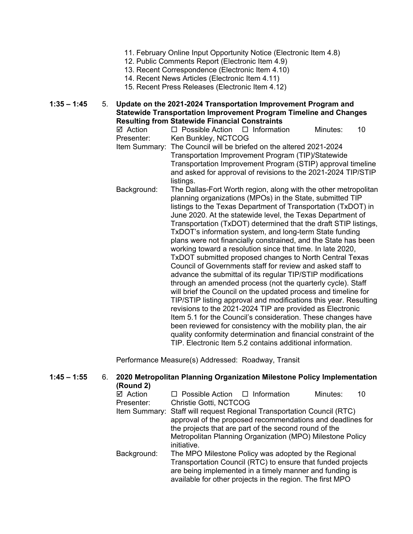- 11. February Online Input Opportunity Notice (Electronic Item 4.8)
- 12. Public Comments Report (Electronic Item 4.9)
- 13. Recent Correspondence (Electronic Item 4.10)
- 14. Recent News Articles (Electronic Item 4.11)
- 15. Recent Press Releases (Electronic Item 4.12)

**1:35 – 1:45** 5. **Update on the 2021-2024 Transportation Improvement Program and Statewide Transportation Improvement Program Timeline and Changes Resulting from Statewide Financial Constraints**

**Ø Action D** Possible Action D Information Minutes: 10<br>Presenter: Ken Bunklev. NCTCOG Ken Bunkley, NCTCOG Item Summary: The Council will be briefed on the altered 2021-2024 Transportation Improvement Program (TIP)/Statewide Transportation Improvement Program (STIP) approval timeline and asked for approval of revisions to the 2021-2024 TIP/STIP listings. Background: The Dallas-Fort Worth region, along with the other metropolitan planning organizations (MPOs) in the State, submitted TIP listings to the Texas Department of Transportation (TxDOT) in June 2020. At the statewide level, the Texas Department of Transportation (TxDOT) determined that the draft STIP listings, TxDOT's information system, and long-term State funding plans were not financially constrained, and the State has been working toward a resolution since that time. In late 2020, TxDOT submitted proposed changes to North Central Texas Council of Governments staff for review and asked staff to advance the submittal of its regular TIP/STIP modifications through an amended process (not the quarterly cycle). Staff

will brief the Council on the updated process and timeline for TIP/STIP listing approval and modifications this year. Resulting revisions to the 2021-2024 TIP are provided as Electronic Item 5.1 for the Council's consideration. These changes have been reviewed for consistency with the mobility plan, the air quality conformity determination and financial constraint of the TIP. Electronic Item 5.2 contains additional information.

Performance Measure(s) Addressed: Roadway, Transit

| $1:45 - 1:55$ | 6. | (Round 2)                        | 2020 Metropolitan Planning Organization Milestone Policy Implementation                                                                                                                                                                                                   |
|---------------|----|----------------------------------|---------------------------------------------------------------------------------------------------------------------------------------------------------------------------------------------------------------------------------------------------------------------------|
|               |    | $\boxtimes$ Action<br>Presenter: | $\Box$ Possible Action $\Box$ Information<br>Minutes:<br>10<br>Christie Gotti, NCTCOG                                                                                                                                                                                     |
|               |    |                                  | Item Summary: Staff will request Regional Transportation Council (RTC)<br>approval of the proposed recommendations and deadlines for<br>the projects that are part of the second round of the<br>Metropolitan Planning Organization (MPO) Milestone Policy<br>initiative. |
|               |    | Background:                      | The MPO Milestone Policy was adopted by the Regional<br>Transportation Council (RTC) to ensure that funded projects<br>are being implemented in a timely manner and funding is<br>available for other projects in the region. The first MPO                               |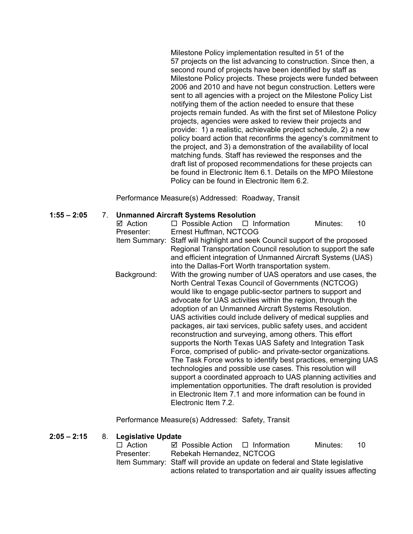Milestone Policy implementation resulted in 51 of the 57 projects on the list advancing to construction. Since then, a second round of projects have been identified by staff as Milestone Policy projects. These projects were funded between 2006 and 2010 and have not begun construction. Letters were sent to all agencies with a project on the Milestone Policy List notifying them of the action needed to ensure that these projects remain funded. As with the first set of Milestone Policy projects, agencies were asked to review their projects and provide: 1) a realistic, achievable project schedule, 2) a new policy board action that reconfirms the agency's commitment to the project, and 3) a demonstration of the availability of local matching funds. Staff has reviewed the responses and the draft list of proposed recommendations for these projects can be found in Electronic Item 6.1. Details on the MPO Milestone Policy can be found in Electronic Item 6.2.

Performance Measure(s) Addressed: Roadway, Transit

## **1:55 – 2:05** 7. **Unmanned Aircraft Systems Resolution**

| $\boxtimes$ Action | $\Box$ Possible Action $\Box$ Information                                   |                                                                                                                           | Minutes: | 10 |
|--------------------|-----------------------------------------------------------------------------|---------------------------------------------------------------------------------------------------------------------------|----------|----|
| Presenter:         | Ernest Huffman, NCTCOG                                                      |                                                                                                                           |          |    |
|                    | Item Summary: Staff will highlight and seek Council support of the proposed |                                                                                                                           |          |    |
|                    |                                                                             | Regional Transportation Council resolution to support the safe                                                            |          |    |
|                    |                                                                             | and efficient integration of Unmanned Aircraft Systems (UAS)                                                              |          |    |
|                    |                                                                             | into the Dallas-Fort Worth transportation system.                                                                         |          |    |
| Background:        |                                                                             | With the growing number of UAS operators and use cases, the                                                               |          |    |
|                    |                                                                             | North Central Texas Council of Governments (NCTCOG)                                                                       |          |    |
|                    |                                                                             | would like to engage public-sector partners to support and                                                                |          |    |
|                    |                                                                             | advocate for UAS activities within the region, through the                                                                |          |    |
|                    |                                                                             | adoption of an Unmanned Aircraft Systems Resolution.                                                                      |          |    |
|                    |                                                                             | UAS activities could include delivery of medical supplies and                                                             |          |    |
|                    |                                                                             | packages, air taxi services, public safety uses, and accident                                                             |          |    |
|                    |                                                                             | reconstruction and surveying, among others. This effort                                                                   |          |    |
|                    |                                                                             | supports the North Texas UAS Safety and Integration Task<br>Force, comprised of public- and private-sector organizations. |          |    |
|                    |                                                                             | The Task Force works to identify best practices, emerging UAS                                                             |          |    |
|                    |                                                                             | technologies and possible use cases. This resolution will                                                                 |          |    |
|                    |                                                                             | support a coordinated approach to UAS planning activities and                                                             |          |    |
|                    |                                                                             | implementation opportunities. The draft resolution is provided                                                            |          |    |
|                    |                                                                             | in Electronic Item 7.1 and more information can be found in                                                               |          |    |
|                    | Electronic Item 7.2.                                                        |                                                                                                                           |          |    |
|                    |                                                                             |                                                                                                                           |          |    |

Performance Measure(s) Addressed: Safety, Transit

## **2:05 – 2:15** 8. **Legislative Update**

| $\Box$ Action | $\boxtimes$ Possible Action $\Box$ Information                              | Minutes: | 10 |
|---------------|-----------------------------------------------------------------------------|----------|----|
| Presenter:    | Rebekah Hernandez, NCTCOG                                                   |          |    |
|               | Item Summary: Staff will provide an update on federal and State legislative |          |    |
|               | actions related to transportation and air quality issues affecting          |          |    |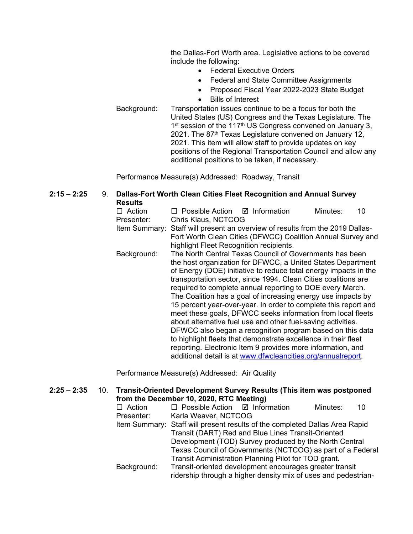the Dallas-Fort Worth area. Legislative actions to be covered include the following:

- Federal Executive Orders
- Federal and State Committee Assignments
- Proposed Fiscal Year 2022-2023 State Budget
- Bills of Interest
- Background: Transportation issues continue to be a focus for both the United States (US) Congress and the Texas Legislature. The 1<sup>st</sup> session of the 117<sup>th</sup> US Congress convened on January 3, 2021. The 87<sup>th</sup> Texas Legislature convened on January 12, 2021. This item will allow staff to provide updates on key positions of the Regional Transportation Council and allow any additional positions to be taken, if necessary.

Performance Measure(s) Addressed: Roadway, Transit

#### **2:15 – 2:25** 9. **Dallas-Fort Worth Clean Cities Fleet Recognition and Annual Survey Results**

| Action      | □ Possible Action □ Information                                               | Minutes: | 10 |
|-------------|-------------------------------------------------------------------------------|----------|----|
| Presenter:  | Chris Klaus, NCTCOG                                                           |          |    |
|             | Item Summary: Staff will present an overview of results from the 2019 Dallas- |          |    |
|             | Fort Worth Clean Cities (DFWCC) Coalition Annual Survey and                   |          |    |
|             | highlight Fleet Recognition recipients.                                       |          |    |
| Background: | The North Central Texas Council of Governments has been                       |          |    |
|             | the host organization for DFWCC, a United States Department                   |          |    |
|             | of Energy (DOE) initiative to reduce total energy impacts in the              |          |    |
|             | transportation sector, since 1994. Clean Cities coalitions are                |          |    |
|             | required to complete annual reporting to DOE every March.                     |          |    |
|             | The Coalition has a goal of increasing energy use impacts by                  |          |    |
|             | 15 percent year-over-year. In order to complete this report and               |          |    |
|             | meet these goals, DFWCC seeks information from local fleets                   |          |    |
|             | about alternative fuel use and other fuel-saving activities.                  |          |    |
|             | DFWCC also began a recognition program based on this data                     |          |    |
|             | to highlight fleets that demonstrate excellence in their fleet                |          |    |
|             | reporting. Electronic Item 9 provides more information, and                   |          |    |
|             | additional detail is at www.dfwcleancities.org/annualreport.                  |          |    |

Performance Measure(s) Addressed: Air Quality

#### **2:25 – 2:35** 10. **Transit-Oriented Development Survey Results (This item was postponed from the December 10, 2020, RTC Meeting)**

| $\Box$ Action | $\Box$ Possible Action $\Box$ Information                                   | Minutes: | 10 |
|---------------|-----------------------------------------------------------------------------|----------|----|
| Presenter:    | Karla Weaver, NCTCOG                                                        |          |    |
|               | Item Summary: Staff will present results of the completed Dallas Area Rapid |          |    |
|               | Transit (DART) Red and Blue Lines Transit-Oriented                          |          |    |
|               | Development (TOD) Survey produced by the North Central                      |          |    |
|               | Texas Council of Governments (NCTCOG) as part of a Federal                  |          |    |
|               | Transit Administration Planning Pilot for TOD grant.                        |          |    |
| Background:   | Transit-oriented development encourages greater transit                     |          |    |
|               | ridership through a higher density mix of uses and pedestrian-              |          |    |
|               |                                                                             |          |    |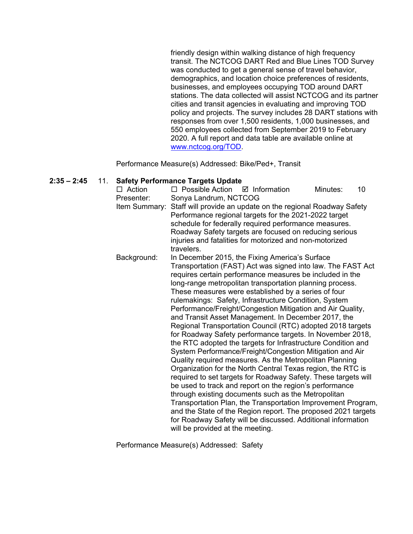friendly design within walking distance of high frequency transit. The NCTCOG DART Red and Blue Lines TOD Survey was conducted to get a general sense of travel behavior, demographics, and location choice preferences of residents, businesses, and employees occupying TOD around DART stations. The data collected will assist NCTCOG and its partner cities and transit agencies in evaluating and improving TOD policy and projects. The survey includes 28 DART stations with responses from over 1,500 residents, 1,000 businesses, and 550 employees collected from September 2019 to February 2020. A full report and data table are available online at [www.nctcog.org/TOD.](http://www.nctcog.org/TOD)

Performance Measure(s) Addressed: Bike/Ped+, Transit

## **2:35 – 2:45** 11. **Safety Performance Targets Update**

| Sonya Landrum, NCTCOG<br>Presenter:<br>Staff will provide an update on the regional Roadway Safety<br>Item Summary:<br>Performance regional targets for the 2021-2022 target<br>schedule for federally required performance measures.<br>Roadway Safety targets are focused on reducing serious<br>injuries and fatalities for motorized and non-motorized<br>travelers.<br>Background:<br>In December 2015, the Fixing America's Surface<br>Transportation (FAST) Act was signed into law. The FAST Act<br>requires certain performance measures be included in the<br>long-range metropolitan transportation planning process. |
|----------------------------------------------------------------------------------------------------------------------------------------------------------------------------------------------------------------------------------------------------------------------------------------------------------------------------------------------------------------------------------------------------------------------------------------------------------------------------------------------------------------------------------------------------------------------------------------------------------------------------------|
|                                                                                                                                                                                                                                                                                                                                                                                                                                                                                                                                                                                                                                  |
|                                                                                                                                                                                                                                                                                                                                                                                                                                                                                                                                                                                                                                  |
|                                                                                                                                                                                                                                                                                                                                                                                                                                                                                                                                                                                                                                  |
|                                                                                                                                                                                                                                                                                                                                                                                                                                                                                                                                                                                                                                  |
|                                                                                                                                                                                                                                                                                                                                                                                                                                                                                                                                                                                                                                  |
|                                                                                                                                                                                                                                                                                                                                                                                                                                                                                                                                                                                                                                  |
|                                                                                                                                                                                                                                                                                                                                                                                                                                                                                                                                                                                                                                  |
|                                                                                                                                                                                                                                                                                                                                                                                                                                                                                                                                                                                                                                  |
|                                                                                                                                                                                                                                                                                                                                                                                                                                                                                                                                                                                                                                  |
| These measures were established by a series of four                                                                                                                                                                                                                                                                                                                                                                                                                                                                                                                                                                              |
| rulemakings: Safety, Infrastructure Condition, System                                                                                                                                                                                                                                                                                                                                                                                                                                                                                                                                                                            |
| Performance/Freight/Congestion Mitigation and Air Quality,                                                                                                                                                                                                                                                                                                                                                                                                                                                                                                                                                                       |
| and Transit Asset Management. In December 2017, the                                                                                                                                                                                                                                                                                                                                                                                                                                                                                                                                                                              |
| Regional Transportation Council (RTC) adopted 2018 targets                                                                                                                                                                                                                                                                                                                                                                                                                                                                                                                                                                       |
| for Roadway Safety performance targets. In November 2018,                                                                                                                                                                                                                                                                                                                                                                                                                                                                                                                                                                        |
| the RTC adopted the targets for Infrastructure Condition and                                                                                                                                                                                                                                                                                                                                                                                                                                                                                                                                                                     |
| System Performance/Freight/Congestion Mitigation and Air<br>Quality required measures. As the Metropolitan Planning                                                                                                                                                                                                                                                                                                                                                                                                                                                                                                              |
| Organization for the North Central Texas region, the RTC is                                                                                                                                                                                                                                                                                                                                                                                                                                                                                                                                                                      |
| required to set targets for Roadway Safety. These targets will                                                                                                                                                                                                                                                                                                                                                                                                                                                                                                                                                                   |
| be used to track and report on the region's performance                                                                                                                                                                                                                                                                                                                                                                                                                                                                                                                                                                          |
| through existing documents such as the Metropolitan                                                                                                                                                                                                                                                                                                                                                                                                                                                                                                                                                                              |
| Transportation Plan, the Transportation Improvement Program,                                                                                                                                                                                                                                                                                                                                                                                                                                                                                                                                                                     |
| and the State of the Region report. The proposed 2021 targets                                                                                                                                                                                                                                                                                                                                                                                                                                                                                                                                                                    |
| for Roadway Safety will be discussed. Additional information                                                                                                                                                                                                                                                                                                                                                                                                                                                                                                                                                                     |
| will be provided at the meeting.                                                                                                                                                                                                                                                                                                                                                                                                                                                                                                                                                                                                 |

Performance Measure(s) Addressed: Safety